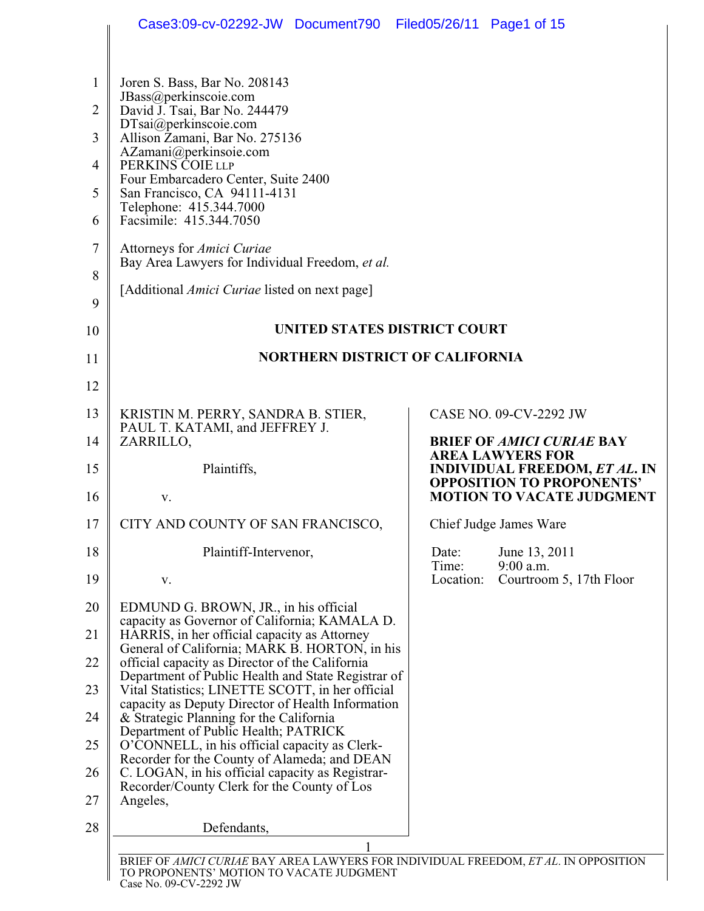|                                                                                | Case3:09-cv-02292-JW Document790 Filed05/26/11 Page1 of 15                                                                                                                                                                                                                                                                                                                                                                                                                    |                                                                          |
|--------------------------------------------------------------------------------|-------------------------------------------------------------------------------------------------------------------------------------------------------------------------------------------------------------------------------------------------------------------------------------------------------------------------------------------------------------------------------------------------------------------------------------------------------------------------------|--------------------------------------------------------------------------|
| $\mathbf{1}$<br>$\overline{2}$<br>3<br>$\overline{4}$<br>5<br>6<br>7<br>8<br>9 | Joren S. Bass, Bar No. 208143<br>JBass@perkinscoie.com<br>David J. Tsai, Bar No. 244479<br>DTsai@perkinscoie.com<br>Allison Zamani, Bar No. 275136<br>AZamani@perkinsoie.com<br>PERKINS COIE LLP<br>Four Embarcadero Center, Suite 2400<br>San Francisco, CA 94111-4131<br>Telephone: 415.344.7000<br>Facsimile: 415.344.7050<br>Attorneys for <i>Amici Curiae</i><br>Bay Area Lawyers for Individual Freedom, et al.<br>[Additional <i>Amici Curiae</i> listed on next page] |                                                                          |
| 10                                                                             | UNITED STATES DISTRICT COURT                                                                                                                                                                                                                                                                                                                                                                                                                                                  |                                                                          |
| 11                                                                             | <b>NORTHERN DISTRICT OF CALIFORNIA</b>                                                                                                                                                                                                                                                                                                                                                                                                                                        |                                                                          |
| 12                                                                             |                                                                                                                                                                                                                                                                                                                                                                                                                                                                               |                                                                          |
| 13                                                                             | KRISTIN M. PERRY, SANDRA B. STIER,                                                                                                                                                                                                                                                                                                                                                                                                                                            | CASE NO. 09-CV-2292 JW                                                   |
| 14                                                                             | PAUL T. KATAMI, and JEFFREY J.<br>ZARRILLO,                                                                                                                                                                                                                                                                                                                                                                                                                                   | <b>BRIEF OF AMICI CURIAE BAY</b><br><b>AREA LAWYERS FOR</b>              |
| 15                                                                             | Plaintiffs,                                                                                                                                                                                                                                                                                                                                                                                                                                                                   | <b>INDIVIDUAL FREEDOM, ET AL. IN</b><br><b>OPPOSITION TO PROPONENTS'</b> |
| 16                                                                             | V.                                                                                                                                                                                                                                                                                                                                                                                                                                                                            | <b>MOTION TO VACATE JUDGMENT</b>                                         |
| 17                                                                             | CITY AND COUNTY OF SAN FRANCISCO,                                                                                                                                                                                                                                                                                                                                                                                                                                             | Chief Judge James Ware                                                   |
| 18                                                                             | Plaintiff-Intervenor,                                                                                                                                                                                                                                                                                                                                                                                                                                                         | June 13, 2011<br>Date:<br>Time:<br>$9:00$ a.m.                           |
| 19                                                                             | V.                                                                                                                                                                                                                                                                                                                                                                                                                                                                            | Location:<br>Courtroom 5, 17th Floor                                     |
| 20                                                                             | EDMUND G. BROWN, JR., in his official<br>capacity as Governor of California; KAMALA D.                                                                                                                                                                                                                                                                                                                                                                                        |                                                                          |
| 21<br>22                                                                       | HARRIS, in her official capacity as Attorney<br>General of California; MARK B. HORTON, in his<br>official capacity as Director of the California                                                                                                                                                                                                                                                                                                                              |                                                                          |
| 23                                                                             | Department of Public Health and State Registrar of<br>Vital Statistics; LINETTE SCOTT, in her official                                                                                                                                                                                                                                                                                                                                                                        |                                                                          |
| 24                                                                             | capacity as Deputy Director of Health Information<br>& Strategic Planning for the California                                                                                                                                                                                                                                                                                                                                                                                  |                                                                          |
| 25                                                                             | Department of Public Health; PATRICK<br>O'CONNELL, in his official capacity as Clerk-                                                                                                                                                                                                                                                                                                                                                                                         |                                                                          |
| 26                                                                             | Recorder for the County of Alameda; and DEAN<br>C. LOGAN, in his official capacity as Registrar-                                                                                                                                                                                                                                                                                                                                                                              |                                                                          |
| 27                                                                             | Recorder/County Clerk for the County of Los<br>Angeles,                                                                                                                                                                                                                                                                                                                                                                                                                       |                                                                          |
| 28                                                                             | Defendants,                                                                                                                                                                                                                                                                                                                                                                                                                                                                   |                                                                          |
|                                                                                | 1<br>BRIEF OF AMICI CURIAE BAY AREA LAWYERS FOR INDIVIDUAL FREEDOM, ET AL. IN OPPOSITION<br>TO PROPONENTS' MOTION TO VACATE JUDGMENT                                                                                                                                                                                                                                                                                                                                          |                                                                          |

Case No. 09-CV-2292 JW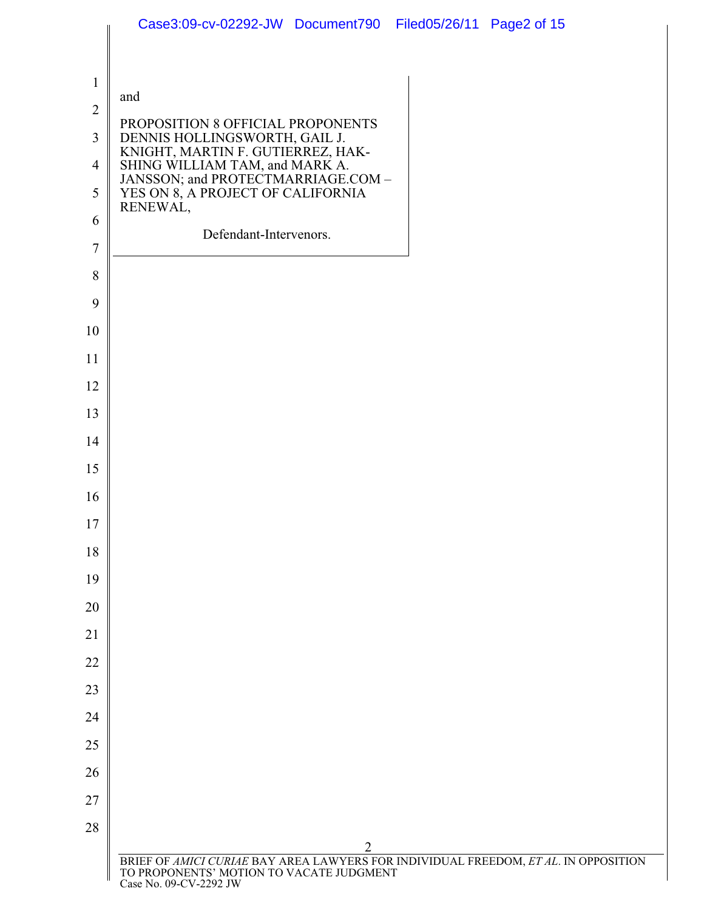|                | Case3:09-cv-02292-JW Document790 Filed05/26/11 Page2 of 15                                                                      |
|----------------|---------------------------------------------------------------------------------------------------------------------------------|
|                |                                                                                                                                 |
| $\mathbf{1}$   | and                                                                                                                             |
| $\sqrt{2}$     | PROPOSITION 8 OFFICIAL PROPONENTS                                                                                               |
| $\overline{3}$ | DENNIS HOLLINGSWORTH, GAIL J.                                                                                                   |
| 4              | KNIGHT, MARTIN F. GUTIERREZ, HAK-<br>SHING WILLIAM TAM, and MARK A.<br>JANSSON; and PROTECTMARRIAGE.COM –                       |
| 5              | YES ON 8, A PROJECT OF CALIFORNIA<br>RENEWAL,                                                                                   |
| 6              | Defendant-Intervenors.                                                                                                          |
| $\tau$         |                                                                                                                                 |
| 8              |                                                                                                                                 |
| 9              |                                                                                                                                 |
| 10<br>11       |                                                                                                                                 |
| 12             |                                                                                                                                 |
| 13             |                                                                                                                                 |
| 14             |                                                                                                                                 |
| 15             |                                                                                                                                 |
| 16             |                                                                                                                                 |
| 17             |                                                                                                                                 |
| 18             |                                                                                                                                 |
| 19             |                                                                                                                                 |
| 20             |                                                                                                                                 |
| 21             |                                                                                                                                 |
| 22             |                                                                                                                                 |
| 23             |                                                                                                                                 |
| 24             |                                                                                                                                 |
| 25             |                                                                                                                                 |
| 26             |                                                                                                                                 |
| 27             |                                                                                                                                 |
| 28             | $\overline{2}$                                                                                                                  |
|                | BRIEF OF AMICI CURIAE BAY AREA LAWYERS FOR INDIVIDUAL FREEDOM, ET AL. IN OPPOSITION<br>TO PROPONENTS' MOTION TO VACATE JUDGMENT |
|                | Case No. 09-CV-2292 JW                                                                                                          |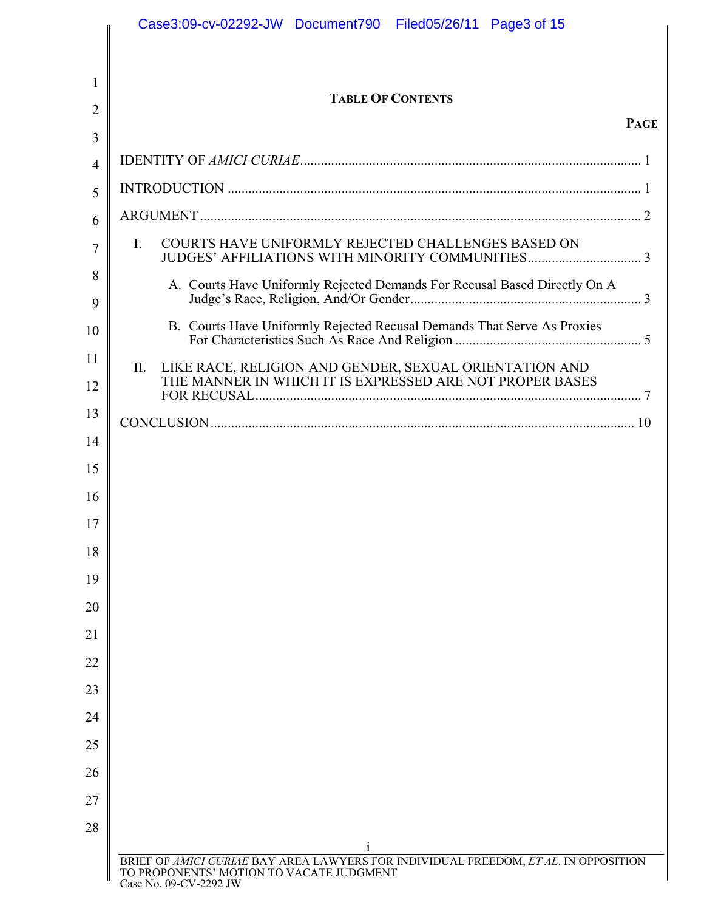|                     | Case3:09-cv-02292-JW Document790 Filed05/26/11 Page3 of 15                                                                                                     |
|---------------------|----------------------------------------------------------------------------------------------------------------------------------------------------------------|
|                     |                                                                                                                                                                |
| 1                   | <b>TABLE OF CONTENTS</b>                                                                                                                                       |
| $\overline{2}$      | <b>PAGE</b>                                                                                                                                                    |
| 3<br>$\overline{4}$ |                                                                                                                                                                |
| 5                   |                                                                                                                                                                |
| 6                   |                                                                                                                                                                |
| 7                   | COURTS HAVE UNIFORMLY REJECTED CHALLENGES BASED ON<br>L.                                                                                                       |
| 8<br>9              | A. Courts Have Uniformly Rejected Demands For Recusal Based Directly On A                                                                                      |
| 10                  | B. Courts Have Uniformly Rejected Recusal Demands That Serve As Proxies                                                                                        |
| 11                  | LIKE RACE, RELIGION AND GENDER, SEXUAL ORIENTATION AND<br>II.<br>THE MANNER IN WHICH IT IS EXPRESSED ARE NOT PROPER BASES                                      |
| 12                  |                                                                                                                                                                |
| 13                  |                                                                                                                                                                |
| 14<br>15            |                                                                                                                                                                |
| 16                  |                                                                                                                                                                |
| 17                  |                                                                                                                                                                |
| 18                  |                                                                                                                                                                |
| 19                  |                                                                                                                                                                |
| 20                  |                                                                                                                                                                |
| 21                  |                                                                                                                                                                |
| 22                  |                                                                                                                                                                |
| 23                  |                                                                                                                                                                |
| 24                  |                                                                                                                                                                |
| 25                  |                                                                                                                                                                |
| 26                  |                                                                                                                                                                |
| 27                  |                                                                                                                                                                |
| 28                  |                                                                                                                                                                |
|                     | 1<br>BRIEF OF AMICI CURIAE BAY AREA LAWYERS FOR INDIVIDUAL FREEDOM, ET AL. IN OPPOSITION<br>TO PROPONENTS' MOTION TO VACATE JUDGMENT<br>Case No. 09-CV-2292 JW |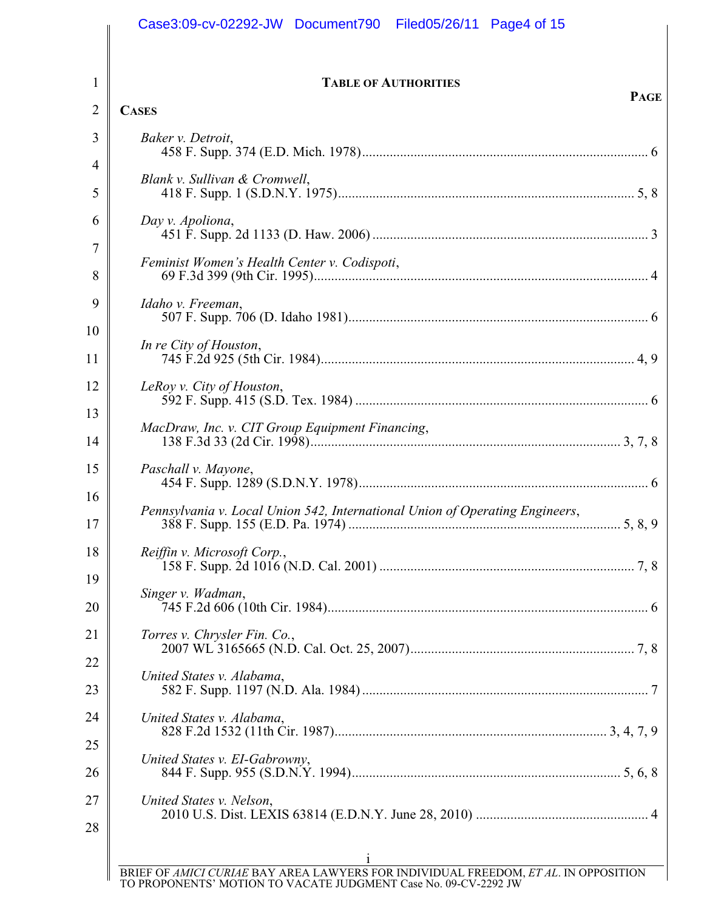| <b>TABLE OF AUTHORITIES</b><br><b>PAGE</b>                                   |
|------------------------------------------------------------------------------|
| <b>CASES</b>                                                                 |
| Baker v. Detroit,                                                            |
| Blank v. Sullivan & Cromwell,                                                |
|                                                                              |
| Day v. Apoliona,                                                             |
| Feminist Women's Health Center v. Codispoti,                                 |
| Idaho v. Freeman,                                                            |
|                                                                              |
| In re City of Houston,                                                       |
| LeRoy v. City of Houston,                                                    |
| MacDraw, Inc. v. CIT Group Equipment Financing,                              |
| Paschall v. Mayone,                                                          |
|                                                                              |
| Pennsylvania v. Local Union 542, International Union of Operating Engineers, |
| Reiffin v. Microsoft Corp.,                                                  |
| Singer v. Wadman,                                                            |
| Torres v. Chrysler Fin. Co.,                                                 |
|                                                                              |
| United States v. Alabama,                                                    |
| United States v. Alabama,                                                    |
| United States v. EI-Gabrowny,                                                |
| United States v. Nelson,                                                     |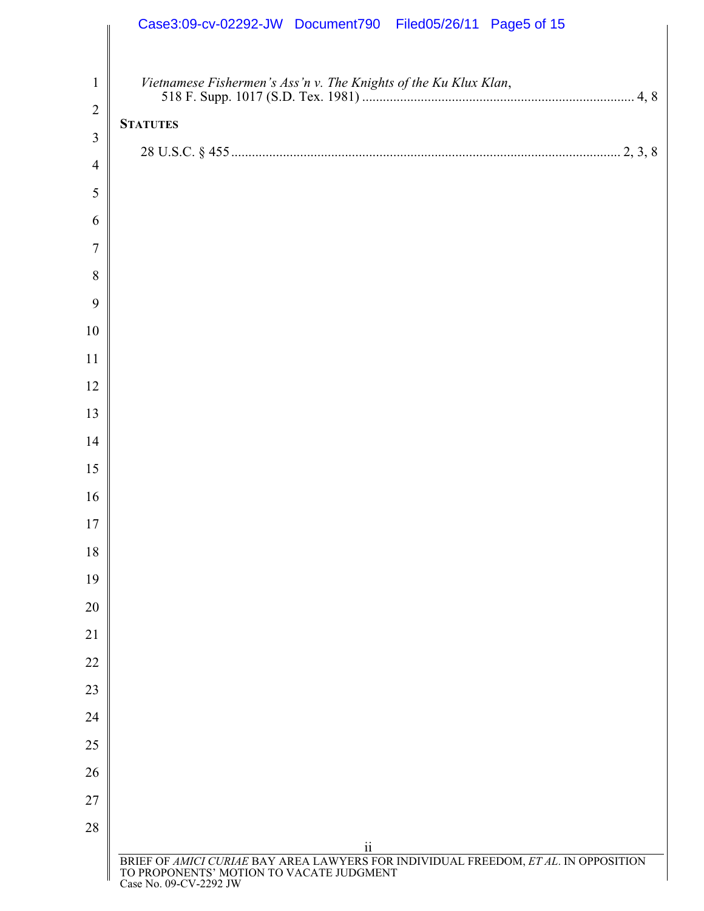|                                | Case3:09-cv-02292-JW Document790 Filed05/26/11 Page5 of 15                                                                                                                            |
|--------------------------------|---------------------------------------------------------------------------------------------------------------------------------------------------------------------------------------|
| $\mathbf{1}$<br>$\overline{2}$ | Vietnamese Fishermen's Ass'n v. The Knights of the Ku Klux Klan,<br><b>STATUTES</b>                                                                                                   |
| $\overline{3}$                 |                                                                                                                                                                                       |
| $\overline{4}$                 |                                                                                                                                                                                       |
| 5                              |                                                                                                                                                                                       |
| 6                              |                                                                                                                                                                                       |
| $\overline{7}$                 |                                                                                                                                                                                       |
| 8                              |                                                                                                                                                                                       |
| 9                              |                                                                                                                                                                                       |
| 10                             |                                                                                                                                                                                       |
| 11                             |                                                                                                                                                                                       |
| 12                             |                                                                                                                                                                                       |
| 13                             |                                                                                                                                                                                       |
| 14                             |                                                                                                                                                                                       |
| 15                             |                                                                                                                                                                                       |
| 16                             |                                                                                                                                                                                       |
| 17<br>18                       |                                                                                                                                                                                       |
| 19                             |                                                                                                                                                                                       |
| 20                             |                                                                                                                                                                                       |
| 21                             |                                                                                                                                                                                       |
| 22                             |                                                                                                                                                                                       |
| 23                             |                                                                                                                                                                                       |
| 24                             |                                                                                                                                                                                       |
| 25                             |                                                                                                                                                                                       |
| 26                             |                                                                                                                                                                                       |
| 27                             |                                                                                                                                                                                       |
| 28                             |                                                                                                                                                                                       |
|                                | $\overline{\textbf{ii}}$<br>BRIEF OF AMICI CURIAE BAY AREA LAWYERS FOR INDIVIDUAL FREEDOM, ET AL. IN OPPOSITION<br>TO PROPONENTS' MOTION TO VACATE JUDGMENT<br>Case No. 09-CV-2292 JW |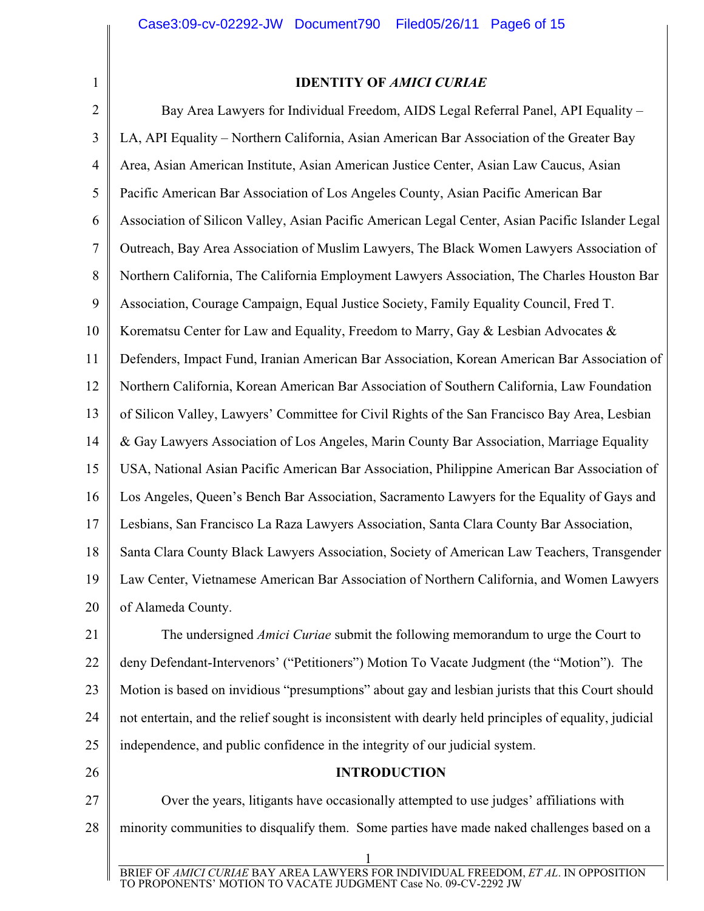1

## **IDENTITY OF** *AMICI CURIAE*

2 3 4 5 6 7 8 9 10 11 12 13 14 15 16 17 18 19 20 Bay Area Lawyers for Individual Freedom, AIDS Legal Referral Panel, API Equality – LA, API Equality – Northern California, Asian American Bar Association of the Greater Bay Area, Asian American Institute, Asian American Justice Center, Asian Law Caucus, Asian Pacific American Bar Association of Los Angeles County, Asian Pacific American Bar Association of Silicon Valley, Asian Pacific American Legal Center, Asian Pacific Islander Legal Outreach, Bay Area Association of Muslim Lawyers, The Black Women Lawyers Association of Northern California, The California Employment Lawyers Association, The Charles Houston Bar Association, Courage Campaign, Equal Justice Society, Family Equality Council, Fred T. Korematsu Center for Law and Equality, Freedom to Marry, Gay  $\&$  Lesbian Advocates  $\&$ Defenders, Impact Fund, Iranian American Bar Association, Korean American Bar Association of Northern California, Korean American Bar Association of Southern California, Law Foundation of Silicon Valley, Lawyers' Committee for Civil Rights of the San Francisco Bay Area, Lesbian & Gay Lawyers Association of Los Angeles, Marin County Bar Association, Marriage Equality USA, National Asian Pacific American Bar Association, Philippine American Bar Association of Los Angeles, Queen's Bench Bar Association, Sacramento Lawyers for the Equality of Gays and Lesbians, San Francisco La Raza Lawyers Association, Santa Clara County Bar Association, Santa Clara County Black Lawyers Association, Society of American Law Teachers, Transgender Law Center, Vietnamese American Bar Association of Northern California, and Women Lawyers of Alameda County.

21 22 23 24 25 The undersigned *Amici Curiae* submit the following memorandum to urge the Court to deny Defendant-Intervenors' ("Petitioners") Motion To Vacate Judgment (the "Motion"). The Motion is based on invidious "presumptions" about gay and lesbian jurists that this Court should not entertain, and the relief sought is inconsistent with dearly held principles of equality, judicial independence, and public confidence in the integrity of our judicial system.

#### 26

**INTRODUCTION**

27 28 Over the years, litigants have occasionally attempted to use judges' affiliations with minority communities to disqualify them. Some parties have made naked challenges based on a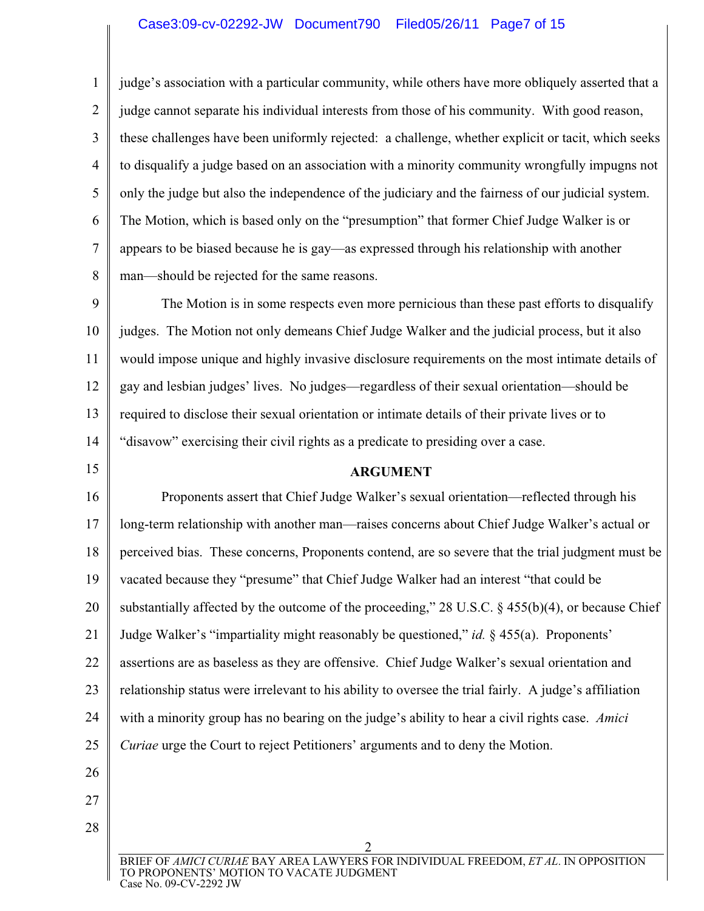1 2 3 4 5 6 7 8 judge's association with a particular community, while others have more obliquely asserted that a judge cannot separate his individual interests from those of his community. With good reason, these challenges have been uniformly rejected: a challenge, whether explicit or tacit, which seeks to disqualify a judge based on an association with a minority community wrongfully impugns not only the judge but also the independence of the judiciary and the fairness of our judicial system. The Motion, which is based only on the "presumption" that former Chief Judge Walker is or appears to be biased because he is gay—as expressed through his relationship with another man—should be rejected for the same reasons.

9 10 11 12 13 14 The Motion is in some respects even more pernicious than these past efforts to disqualify judges. The Motion not only demeans Chief Judge Walker and the judicial process, but it also would impose unique and highly invasive disclosure requirements on the most intimate details of gay and lesbian judges' lives. No judges—regardless of their sexual orientation—should be required to disclose their sexual orientation or intimate details of their private lives or to "disavow" exercising their civil rights as a predicate to presiding over a case.

## 15

## **ARGUMENT**

16 17 18 19 20 21 22 23 24 25 26 Proponents assert that Chief Judge Walker's sexual orientation—reflected through his long-term relationship with another man—raises concerns about Chief Judge Walker's actual or perceived bias. These concerns, Proponents contend, are so severe that the trial judgment must be vacated because they "presume" that Chief Judge Walker had an interest "that could be substantially affected by the outcome of the proceeding," 28 U.S.C. § 455(b)(4), or because Chief Judge Walker's "impartiality might reasonably be questioned," *id.* § 455(a). Proponents' assertions are as baseless as they are offensive. Chief Judge Walker's sexual orientation and relationship status were irrelevant to his ability to oversee the trial fairly. A judge's affiliation with a minority group has no bearing on the judge's ability to hear a civil rights case. *Amici Curiae* urge the Court to reject Petitioners' arguments and to deny the Motion.

27 28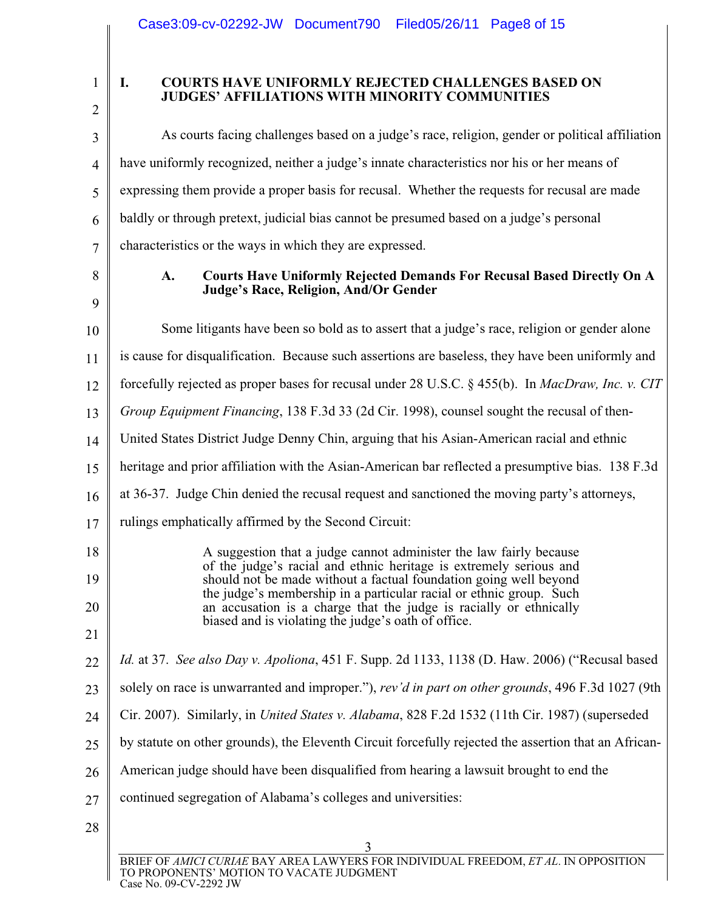| 1 |  |
|---|--|

### **I. COURTS HAVE UNIFORMLY REJECTED CHALLENGES BASED ON JUDGES' AFFILIATIONS WITH MINORITY COMMUNITIES**

| 3      | As courts facing challenges based on a judge's race, religion, gender or political affiliation                                            |
|--------|-------------------------------------------------------------------------------------------------------------------------------------------|
| 4      | have uniformly recognized, neither a judge's innate characteristics nor his or her means of                                               |
| 5      | expressing them provide a proper basis for recusal. Whether the requests for recusal are made                                             |
| 6      | baldly or through pretext, judicial bias cannot be presumed based on a judge's personal                                                   |
| 7      | characteristics or the ways in which they are expressed.                                                                                  |
| 8<br>9 | Courts Have Uniformly Rejected Demands For Recusal Based Directly On A<br>A.<br>Judge's Race, Religion, And/Or Gender                     |
| 10     | Some litigants have been so bold as to assert that a judge's race, religion or gender alone                                               |
| 11     | is cause for disqualification. Because such assertions are baseless, they have been uniformly and                                         |
| 12     | forcefully rejected as proper bases for recusal under 28 U.S.C. § 455(b). In MacDraw, Inc. v. CIT                                         |
| 13     | Group Equipment Financing, 138 F.3d 33 (2d Cir. 1998), counsel sought the recusal of then-                                                |
| 14     | United States District Judge Denny Chin, arguing that his Asian-American racial and ethnic                                                |
| 15     | heritage and prior affiliation with the Asian-American bar reflected a presumptive bias. 138 F.3d                                         |
| 16     | at 36-37. Judge Chin denied the recusal request and sanctioned the moving party's attorneys,                                              |
| 17     | rulings emphatically affirmed by the Second Circuit:                                                                                      |
| 18     | A suggestion that a judge cannot administer the law fairly because                                                                        |
| 19     | of the judge's racial and ethnic heritage is extremely serious and<br>should not be made without a factual foundation going well beyond   |
| 20     | the judge's membership in a particular racial or ethnic group. Such<br>an accusation is a charge that the judge is racially or ethnically |
| 21     | biased and is violating the judge's oath of office.                                                                                       |
| 22     | Id. at 37. See also Day v. Apoliona, 451 F. Supp. 2d 1133, 1138 (D. Haw. 2006) ("Recusal based                                            |
| 23     | solely on race is unwarranted and improper."), rev'd in part on other grounds, 496 F.3d 1027 (9th                                         |
| 24     | Cir. 2007). Similarly, in United States v. Alabama, 828 F.2d 1532 (11th Cir. 1987) (superseded                                            |
| 25     | by statute on other grounds), the Eleventh Circuit forcefully rejected the assertion that an African-                                     |
| 26     | American judge should have been disqualified from hearing a lawsuit brought to end the                                                    |
| 27     | continued segregation of Alabama's colleges and universities:                                                                             |
| 28     |                                                                                                                                           |
|        | 3                                                                                                                                         |
|        | BRIEF OF AMICI CURIAE BAY AREA LAWYERS FOR INDIVIDUAL FREEDOM, ET AL. IN OPPOSITION<br>TO PROPONENTS' MOTION TO VACATE JUDGMENT           |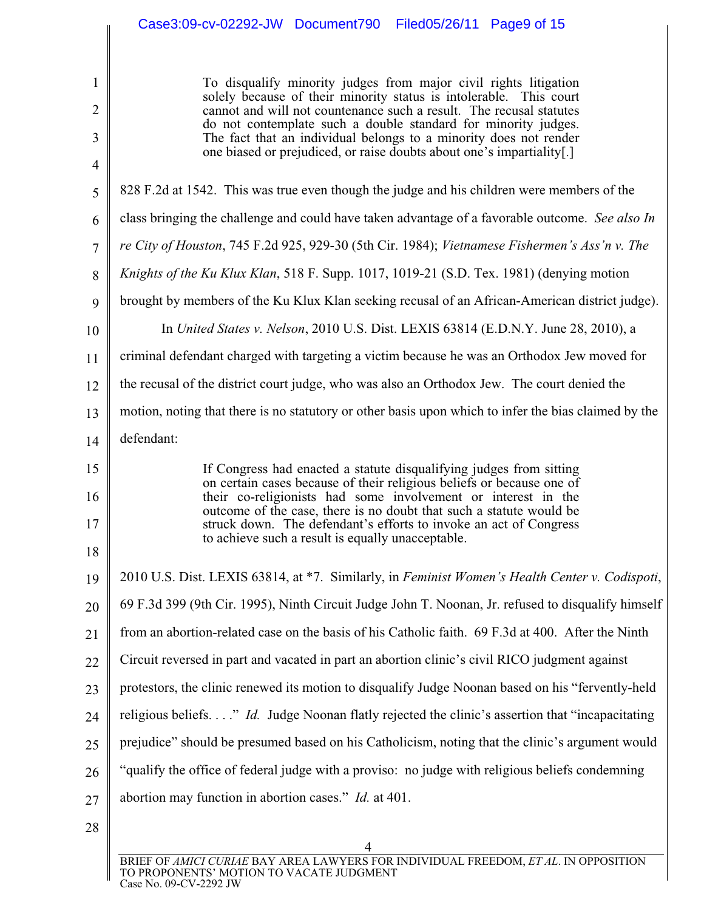1 2 3 4 5 6 7 8 9 10 11 12 13 14 15 16 17 18 19 20 21 22 23 24 25 26 27 28 4 To disqualify minority judges from major civil rights litigation solely because of their minority status is intolerable. This court cannot and will not countenance such a result. The recusal statutes do not contemplate such a double standard for minority judges. The fact that an individual belongs to a minority does not render one biased or prejudiced, or raise doubts about one's impartiality[.] 828 F.2d at 1542. This was true even though the judge and his children were members of the class bringing the challenge and could have taken advantage of a favorable outcome. *See also In re City of Houston*, 745 F.2d 925, 929-30 (5th Cir. 1984); *Vietnamese Fishermen's Ass'n v. The Knights of the Ku Klux Klan*, 518 F. Supp. 1017, 1019-21 (S.D. Tex. 1981) (denying motion brought by members of the Ku Klux Klan seeking recusal of an African-American district judge). In *United States v. Nelson*, 2010 U.S. Dist. LEXIS 63814 (E.D.N.Y. June 28, 2010), a criminal defendant charged with targeting a victim because he was an Orthodox Jew moved for the recusal of the district court judge, who was also an Orthodox Jew. The court denied the motion, noting that there is no statutory or other basis upon which to infer the bias claimed by the defendant: If Congress had enacted a statute disqualifying judges from sitting on certain cases because of their religious beliefs or because one of their co-religionists had some involvement or interest in the outcome of the case, there is no doubt that such a statute would be struck down. The defendant's efforts to invoke an act of Congress to achieve such a result is equally unacceptable. 2010 U.S. Dist. LEXIS 63814, at \*7. Similarly, in *Feminist Women's Health Center v. Codispoti*, 69 F.3d 399 (9th Cir. 1995), Ninth Circuit Judge John T. Noonan, Jr. refused to disqualify himself from an abortion-related case on the basis of his Catholic faith. 69 F.3d at 400. After the Ninth Circuit reversed in part and vacated in part an abortion clinic's civil RICO judgment against protestors, the clinic renewed its motion to disqualify Judge Noonan based on his "fervently-held religious beliefs. . . ." *Id.* Judge Noonan flatly rejected the clinic's assertion that "incapacitating prejudice" should be presumed based on his Catholicism, noting that the clinic's argument would "qualify the office of federal judge with a proviso: no judge with religious beliefs condemning abortion may function in abortion cases." *Id.* at 401.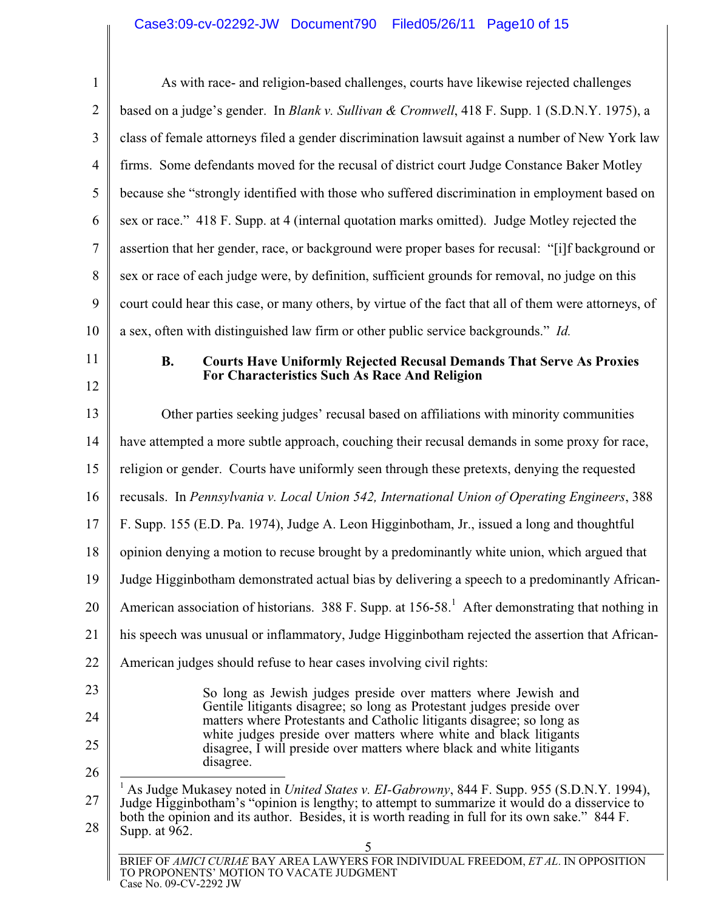# Case3:09-cv-02292-JW Document790 Filed05/26/11 Page10 of 15

| $\mathbf{1}$         | As with race- and religion-based challenges, courts have likewise rejected challenges                                                                                                                                                                                                                                                                                       |  |
|----------------------|-----------------------------------------------------------------------------------------------------------------------------------------------------------------------------------------------------------------------------------------------------------------------------------------------------------------------------------------------------------------------------|--|
| $\overline{2}$       | based on a judge's gender. In Blank v. Sullivan & Cromwell, 418 F. Supp. 1 (S.D.N.Y. 1975), a                                                                                                                                                                                                                                                                               |  |
| 3                    | class of female attorneys filed a gender discrimination lawsuit against a number of New York law                                                                                                                                                                                                                                                                            |  |
| $\overline{4}$       | firms. Some defendants moved for the recusal of district court Judge Constance Baker Motley                                                                                                                                                                                                                                                                                 |  |
| 5                    | because she "strongly identified with those who suffered discrimination in employment based on                                                                                                                                                                                                                                                                              |  |
| 6                    | sex or race." 418 F. Supp. at 4 (internal quotation marks omitted). Judge Motley rejected the                                                                                                                                                                                                                                                                               |  |
| 7                    | assertion that her gender, race, or background were proper bases for recusal: "[i]f background or                                                                                                                                                                                                                                                                           |  |
| 8                    | sex or race of each judge were, by definition, sufficient grounds for removal, no judge on this                                                                                                                                                                                                                                                                             |  |
| 9                    | court could hear this case, or many others, by virtue of the fact that all of them were attorneys, of                                                                                                                                                                                                                                                                       |  |
| 10                   | a sex, often with distinguished law firm or other public service backgrounds." Id.                                                                                                                                                                                                                                                                                          |  |
| 11<br>12             | <b>B.</b><br><b>Courts Have Uniformly Rejected Recusal Demands That Serve As Proxies</b><br>For Characteristics Such As Race And Religion                                                                                                                                                                                                                                   |  |
| 13                   | Other parties seeking judges' recusal based on affiliations with minority communities                                                                                                                                                                                                                                                                                       |  |
| 14                   | have attempted a more subtle approach, couching their recusal demands in some proxy for race,                                                                                                                                                                                                                                                                               |  |
| 15                   | religion or gender. Courts have uniformly seen through these pretexts, denying the requested                                                                                                                                                                                                                                                                                |  |
| 16                   | recusals. In Pennsylvania v. Local Union 542, International Union of Operating Engineers, 388                                                                                                                                                                                                                                                                               |  |
| 17                   | F. Supp. 155 (E.D. Pa. 1974), Judge A. Leon Higginbotham, Jr., issued a long and thoughtful                                                                                                                                                                                                                                                                                 |  |
| 18                   | opinion denying a motion to recuse brought by a predominantly white union, which argued that                                                                                                                                                                                                                                                                                |  |
| 19                   | Judge Higginbotham demonstrated actual bias by delivering a speech to a predominantly African-                                                                                                                                                                                                                                                                              |  |
| 20                   | American association of historians. 388 F. Supp. at 156-58. <sup>1</sup> After demonstrating that nothing in                                                                                                                                                                                                                                                                |  |
|                      | his speech was unusual or inflammatory, Judge Higginbotham rejected the assertion that African-                                                                                                                                                                                                                                                                             |  |
|                      | American judges should refuse to hear cases involving civil rights:                                                                                                                                                                                                                                                                                                         |  |
| 23<br>24<br>25<br>26 | So long as Jewish judges preside over matters where Jewish and<br>Gentile litigants disagree; so long as Protestant judges preside over<br>matters where Protestants and Catholic litigants disagree; so long as<br>white judges preside over matters where white and black litigants<br>disagree, I will preside over matters where black and white litigants<br>disagree. |  |
|                      | As Judge Mukasey noted in United States v. EI-Gabrowny, 844 F. Supp. 955 (S.D.N.Y. 1994),<br>Judge Higginbotham's "opinion is lengthy; to attempt to summarize it would do a disservice to<br>both the opinion and its author. Besides, it is worth reading in full for its own sake." 844 F.<br>Supp. at 962.<br>5                                                         |  |
|                      | BRIEF OF AMICI CURIAE BAY AREA LAWYERS FOR INDIVIDUAL FREEDOM, ET AL. IN OPPOSITION<br>TO PROPONENTS' MOTION TO VACATE JUDGMENT<br>Case No. 09-CV-2292 JW                                                                                                                                                                                                                   |  |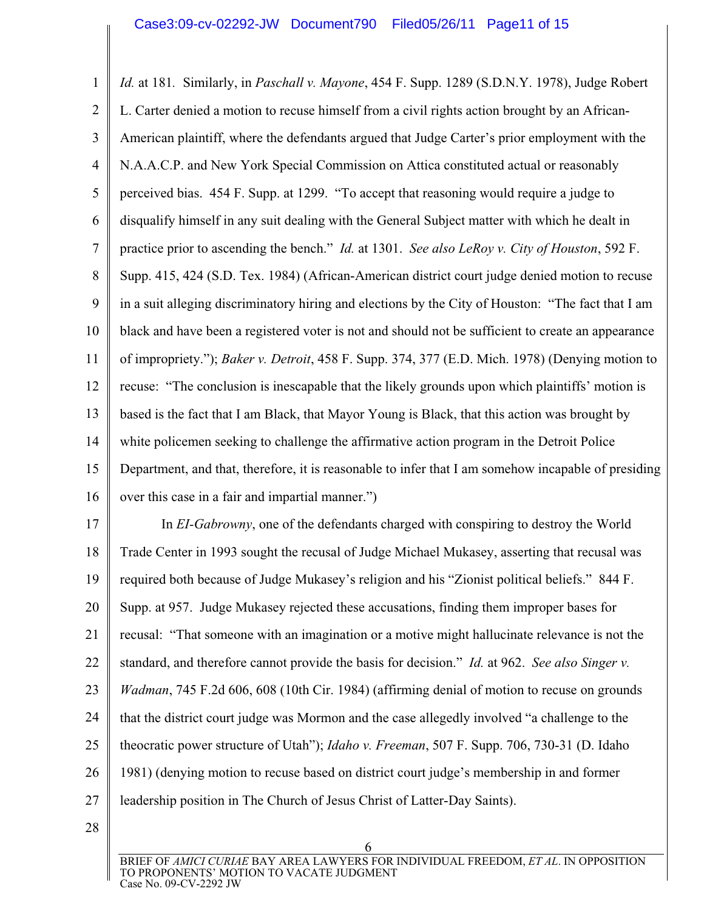1 2 3 4 5 6 7 8 9 10 11 12 13 14 15 16 *Id.* at 181*.* Similarly, in *Paschall v. Mayone*, 454 F. Supp. 1289 (S.D.N.Y. 1978), Judge Robert L. Carter denied a motion to recuse himself from a civil rights action brought by an African-American plaintiff, where the defendants argued that Judge Carter's prior employment with the N.A.A.C.P. and New York Special Commission on Attica constituted actual or reasonably perceived bias. 454 F. Supp. at 1299. "To accept that reasoning would require a judge to disqualify himself in any suit dealing with the General Subject matter with which he dealt in practice prior to ascending the bench." *Id.* at 1301. *See also LeRoy v. City of Houston*, 592 F. Supp. 415, 424 (S.D. Tex. 1984) (African-American district court judge denied motion to recuse in a suit alleging discriminatory hiring and elections by the City of Houston: "The fact that I am black and have been a registered voter is not and should not be sufficient to create an appearance of impropriety."); *Baker v. Detroit*, 458 F. Supp. 374, 377 (E.D. Mich. 1978) (Denying motion to recuse: "The conclusion is inescapable that the likely grounds upon which plaintiffs' motion is based is the fact that I am Black, that Mayor Young is Black, that this action was brought by white policemen seeking to challenge the affirmative action program in the Detroit Police Department, and that, therefore, it is reasonable to infer that I am somehow incapable of presiding over this case in a fair and impartial manner.")

17 18 19 20 21 22 23 24 25 26 27 In *EI-Gabrowny*, one of the defendants charged with conspiring to destroy the World Trade Center in 1993 sought the recusal of Judge Michael Mukasey, asserting that recusal was required both because of Judge Mukasey's religion and his "Zionist political beliefs." 844 F. Supp. at 957. Judge Mukasey rejected these accusations, finding them improper bases for recusal: "That someone with an imagination or a motive might hallucinate relevance is not the standard, and therefore cannot provide the basis for decision." *Id.* at 962. *See also Singer v. Wadman*, 745 F.2d 606, 608 (10th Cir. 1984) (affirming denial of motion to recuse on grounds that the district court judge was Mormon and the case allegedly involved "a challenge to the theocratic power structure of Utah"); *Idaho v. Freeman*, 507 F. Supp. 706, 730-31 (D. Idaho 1981) (denying motion to recuse based on district court judge's membership in and former leadership position in The Church of Jesus Christ of Latter-Day Saints).

28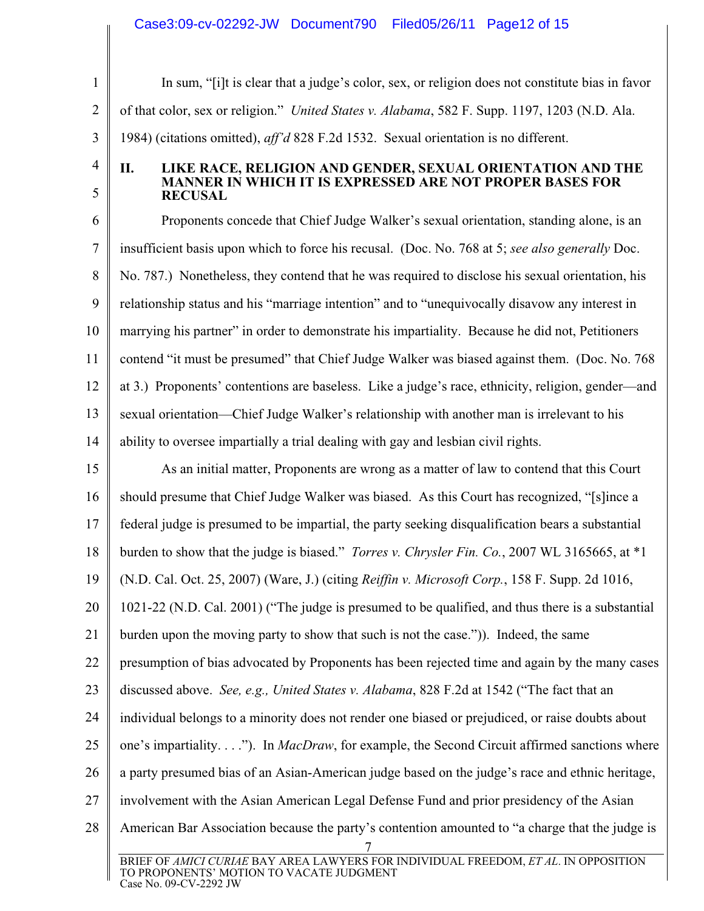## Case3:09-cv-02292-JW Document790 Filed05/26/11 Page12 of 15

1 2 3 In sum, "[i]t is clear that a judge's color, sex, or religion does not constitute bias in favor of that color, sex or religion." *United States v. Alabama*, 582 F. Supp. 1197, 1203 (N.D. Ala. 1984) (citations omitted), *aff'd* 828 F.2d 1532. Sexual orientation is no different.

4

5

#### **II. LIKE RACE, RELIGION AND GENDER, SEXUAL ORIENTATION AND THE MANNER IN WHICH IT IS EXPRESSED ARE NOT PROPER BASES FOR RECUSAL**

6 7 8 9 10 11 12 13 14 Proponents concede that Chief Judge Walker's sexual orientation, standing alone, is an insufficient basis upon which to force his recusal. (Doc. No. 768 at 5; *see also generally* Doc. No. 787.) Nonetheless, they contend that he was required to disclose his sexual orientation, his relationship status and his "marriage intention" and to "unequivocally disavow any interest in marrying his partner" in order to demonstrate his impartiality. Because he did not, Petitioners contend "it must be presumed" that Chief Judge Walker was biased against them. (Doc. No. 768 at 3.) Proponents' contentions are baseless. Like a judge's race, ethnicity, religion, gender—and sexual orientation—Chief Judge Walker's relationship with another man is irrelevant to his ability to oversee impartially a trial dealing with gay and lesbian civil rights.

15 16 17 18 19 20 21 22 23 24 25 26 27 28 7 BRIEF OF *AMICI CURIAE* BAY AREA LAWYERS FOR INDIVIDUAL FREEDOM, *ET AL*. IN OPPOSITION TO PROPONENTS' MOTION TO VACATE JUDGMENT Case No. 09-CV-2292 JW As an initial matter, Proponents are wrong as a matter of law to contend that this Court should presume that Chief Judge Walker was biased. As this Court has recognized, "[s]ince a federal judge is presumed to be impartial, the party seeking disqualification bears a substantial burden to show that the judge is biased." *Torres v. Chrysler Fin. Co.*, 2007 WL 3165665, at \*1 (N.D. Cal. Oct. 25, 2007) (Ware, J.) (citing *Reiffin v. Microsoft Corp.*, 158 F. Supp. 2d 1016, 1021-22 (N.D. Cal. 2001) ("The judge is presumed to be qualified, and thus there is a substantial burden upon the moving party to show that such is not the case.")). Indeed, the same presumption of bias advocated by Proponents has been rejected time and again by the many cases discussed above. *See, e.g., United States v. Alabama*, 828 F.2d at 1542 ("The fact that an individual belongs to a minority does not render one biased or prejudiced, or raise doubts about one's impartiality. . . ."). In *MacDraw*, for example, the Second Circuit affirmed sanctions where a party presumed bias of an Asian-American judge based on the judge's race and ethnic heritage, involvement with the Asian American Legal Defense Fund and prior presidency of the Asian American Bar Association because the party's contention amounted to "a charge that the judge is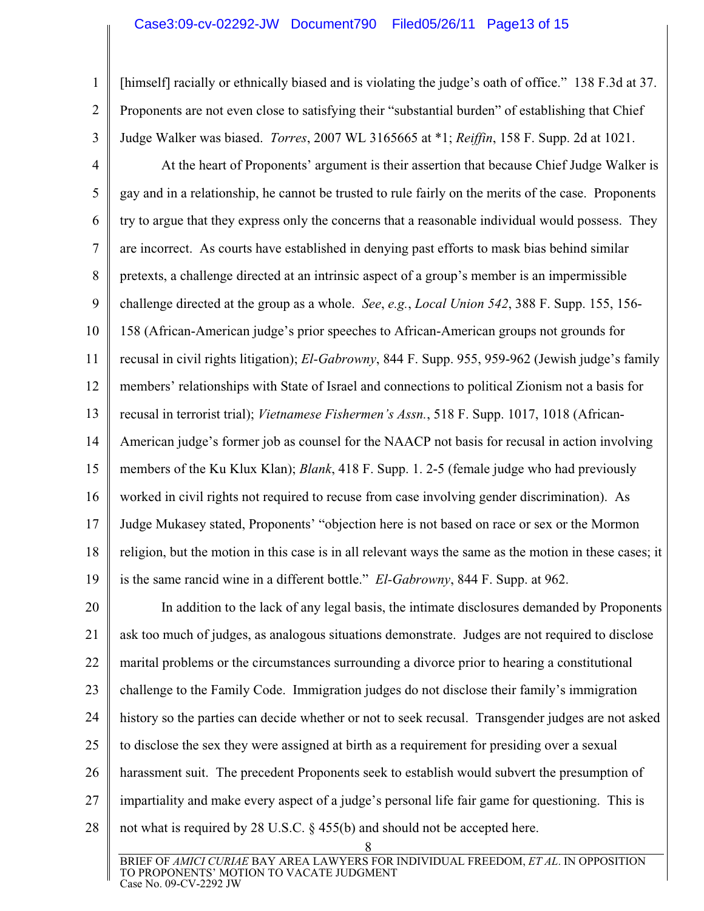1

2

3

[himself] racially or ethnically biased and is violating the judge's oath of office." 138 F.3d at 37. Proponents are not even close to satisfying their "substantial burden" of establishing that Chief Judge Walker was biased. *Torres*, 2007 WL 3165665 at \*1; *Reiffin*, 158 F. Supp. 2d at 1021.

4 5 6 7 8 9 10 11 12 13 14 15 16 17 18 19 At the heart of Proponents' argument is their assertion that because Chief Judge Walker is gay and in a relationship, he cannot be trusted to rule fairly on the merits of the case. Proponents try to argue that they express only the concerns that a reasonable individual would possess. They are incorrect. As courts have established in denying past efforts to mask bias behind similar pretexts, a challenge directed at an intrinsic aspect of a group's member is an impermissible challenge directed at the group as a whole. *See*, *e.g.*, *Local Union 542*, 388 F. Supp. 155, 156- 158 (African-American judge's prior speeches to African-American groups not grounds for recusal in civil rights litigation); *El-Gabrowny*, 844 F. Supp. 955, 959-962 (Jewish judge's family members' relationships with State of Israel and connections to political Zionism not a basis for recusal in terrorist trial); *Vietnamese Fishermen's Assn.*, 518 F. Supp. 1017, 1018 (African-American judge's former job as counsel for the NAACP not basis for recusal in action involving members of the Ku Klux Klan); *Blank*, 418 F. Supp. 1. 2-5 (female judge who had previously worked in civil rights not required to recuse from case involving gender discrimination). As Judge Mukasey stated, Proponents' "objection here is not based on race or sex or the Mormon religion, but the motion in this case is in all relevant ways the same as the motion in these cases; it is the same rancid wine in a different bottle." *El-Gabrowny*, 844 F. Supp. at 962.

20 21 22 23 24 25 26 27 28 In addition to the lack of any legal basis, the intimate disclosures demanded by Proponents ask too much of judges, as analogous situations demonstrate. Judges are not required to disclose marital problems or the circumstances surrounding a divorce prior to hearing a constitutional challenge to the Family Code. Immigration judges do not disclose their family's immigration history so the parties can decide whether or not to seek recusal. Transgender judges are not asked to disclose the sex they were assigned at birth as a requirement for presiding over a sexual harassment suit. The precedent Proponents seek to establish would subvert the presumption of impartiality and make every aspect of a judge's personal life fair game for questioning. This is not what is required by 28 U.S.C. § 455(b) and should not be accepted here.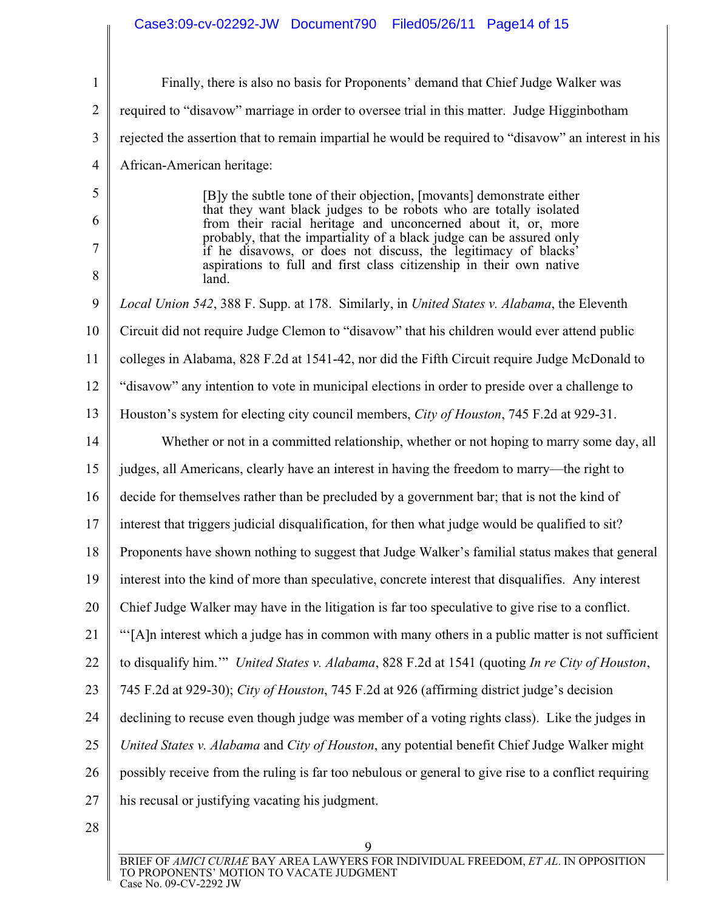| $\mathbf{1}$   | Finally, there is also no basis for Proponents' demand that Chief Judge Walker was                                                     |
|----------------|----------------------------------------------------------------------------------------------------------------------------------------|
| $\overline{2}$ | required to "disavow" marriage in order to oversee trial in this matter. Judge Higginbotham                                            |
| 3              | rejected the assertion that to remain impartial he would be required to "disavow" an interest in his                                   |
| 4              | African-American heritage:                                                                                                             |
| 5              | [B]y the subtle tone of their objection, [movants] demonstrate either                                                                  |
| 6              | that they want black judges to be robots who are totally isolated<br>from their racial heritage and unconcerned about it, or, more     |
| 7              | probably, that the impartiality of a black judge can be assured only<br>if he disavows, or does not discuss, the legitimacy of blacks' |
| 8              | aspirations to full and first class citizenship in their own native<br>land.                                                           |
| 9              | Local Union 542, 388 F. Supp. at 178. Similarly, in United States v. Alabama, the Eleventh                                             |
| 10             | Circuit did not require Judge Clemon to "disavow" that his children would ever attend public                                           |
| 11             | colleges in Alabama, 828 F.2d at 1541-42, nor did the Fifth Circuit require Judge McDonald to                                          |
| 12             | "disavow" any intention to vote in municipal elections in order to preside over a challenge to                                         |
| 13             | Houston's system for electing city council members, City of Houston, 745 F.2d at 929-31.                                               |
| 14             | Whether or not in a committed relationship, whether or not hoping to marry some day, all                                               |
| 15             | judges, all Americans, clearly have an interest in having the freedom to marry—the right to                                            |
| 16             | decide for themselves rather than be precluded by a government bar; that is not the kind of                                            |
| 17             | interest that triggers judicial disqualification, for then what judge would be qualified to sit?                                       |
| 18             | Proponents have shown nothing to suggest that Judge Walker's familial status makes that general                                        |
| 19             | interest into the kind of more than speculative, concrete interest that disqualifies. Any interest                                     |
| 20             | Chief Judge Walker may have in the litigation is far too speculative to give rise to a conflict.                                       |
| 21             | "[A]n interest which a judge has in common with many others in a public matter is not sufficient                                       |
| 22             | to disqualify him."" United States v. Alabama, 828 F.2d at 1541 (quoting In re City of Houston,                                        |
| 23             | 745 F.2d at 929-30); City of Houston, 745 F.2d at 926 (affirming district judge's decision                                             |
| 24             | declining to recuse even though judge was member of a voting rights class). Like the judges in                                         |
| 25             | United States v. Alabama and City of Houston, any potential benefit Chief Judge Walker might                                           |
| 26             | possibly receive from the ruling is far too nebulous or general to give rise to a conflict requiring                                   |
| 27             | his recusal or justifying vacating his judgment.                                                                                       |
|                |                                                                                                                                        |

28